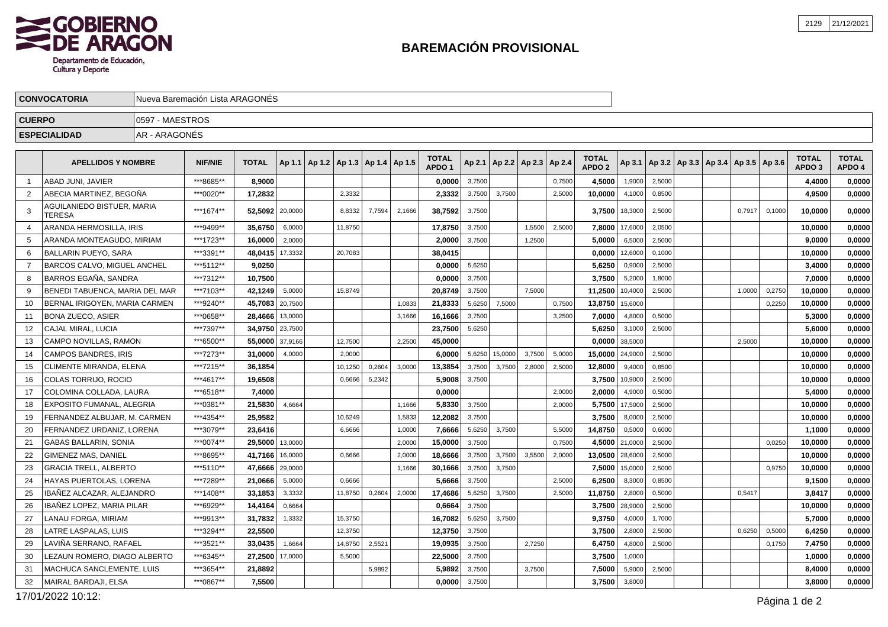## **BAREMACIÓN PROVISIONAL**

| <b>CONVOCATORIA</b> |                                      | Nueva Baremación Lista ARAGONÉS |                |              |                 |                                            |         |        |        |                                   |        |                                   |        |        |                                   |                    |        |                                                     |        |        |                        |                        |
|---------------------|--------------------------------------|---------------------------------|----------------|--------------|-----------------|--------------------------------------------|---------|--------|--------|-----------------------------------|--------|-----------------------------------|--------|--------|-----------------------------------|--------------------|--------|-----------------------------------------------------|--------|--------|------------------------|------------------------|
| <b>CUERPO</b>       |                                      | 0597 - MAESTROS                 |                |              |                 |                                            |         |        |        |                                   |        |                                   |        |        |                                   |                    |        |                                                     |        |        |                        |                        |
|                     | <b>ESPECIALIDAD</b>                  | IAR - ARAGONÉS                  |                |              |                 |                                            |         |        |        |                                   |        |                                   |        |        |                                   |                    |        |                                                     |        |        |                        |                        |
|                     | <b>APELLIDOS Y NOMBRE</b>            |                                 | <b>NIF/NIE</b> | <b>TOTAL</b> |                 | Ap 1.1   Ap 1.2   Ap 1.3   Ap 1.4   Ap 1.5 |         |        |        | <b>TOTAL</b><br>APDO <sub>1</sub> |        | Ap 2.1   Ap 2.2   Ap 2.3   Ap 2.4 |        |        | <b>TOTAL</b><br>APDO <sub>2</sub> |                    |        | Ap 3.1   Ap 3.2   Ap 3.3   Ap 3.4   Ap 3.5   Ap 3.6 |        |        | <b>TOTAL</b><br>APDO 3 | <b>TOTAL</b><br>APDO 4 |
|                     | ABAD JUNI. JAVIER                    |                                 | ***8685**      | 8,9000       |                 |                                            |         |        |        | 0,0000                            | 3,7500 |                                   |        | 0,7500 | 4,5000                            | 1,9000             | 2,5000 |                                                     |        |        | 4,4000                 | 0,0000                 |
|                     | ABECIA MARTINEZ, BEGOÑA              |                                 | ***0020**      | 17,2832      |                 |                                            | 2,3332  |        |        | 2,3332                            | 3,7500 | 3,7500                            |        | 2,5000 | 10,0000                           | 4,1000             | 0,8500 |                                                     |        |        | 4,9500                 | 0,0000                 |
|                     | AGUILANIEDO BISTUER, MARIA<br>TERESA |                                 | ***1674**      |              | 52,5092 20,0000 |                                            | 8,8332  | 7,7594 | 2,1666 | 38,7592                           | 3,7500 |                                   |        |        |                                   | $3,7500$   18,3000 | 2,5000 |                                                     | 0,7917 | 0,1000 | 10,0000                | 0,0000                 |
|                     | ARANDA HERMOSILLA, IRIS              |                                 | ***9499**      | 35,6750      | 6,0000          |                                            | 11,8750 |        |        | 17,8750                           | 3,7500 |                                   | 1,5500 | 2,5000 |                                   | 7,8000 17,6000     | 2,0500 |                                                     |        |        | 10,0000                | 0,0000                 |
| 5                   | ARANDA MONTEAGUDO, MIRIAM            |                                 | ***1723**      | 16,0000      | 2,0000          |                                            |         |        |        | 2,0000                            | 3,7500 |                                   | 1,2500 |        | 5,0000                            | 6,5000             | 2,5000 |                                                     |        |        | 9,0000                 | 0,0000                 |
| 6                   | BALLARIN PUEYO, SARA                 |                                 | ***3391**      |              | 48,0415 17,3332 |                                            | 20,7083 |        |        | 38,0415                           |        |                                   |        |        |                                   | $0,0000$   12,6000 | 0,1000 |                                                     |        |        | 10,0000                | 0,0000                 |
|                     | <b>BARCOS CALVO, MIGUEL ANCHEL</b>   |                                 | ***5112**      | 9,0250       |                 |                                            |         |        |        | 0,0000                            | 5,6250 |                                   |        |        | 5,6250                            | 0,9000             | 2,5000 |                                                     |        |        | 3,4000                 | 0,0000                 |
| 8                   | BARROS EGAÑA. SANDRA                 |                                 | ***7312**      | 10,7500      |                 |                                            |         |        |        | 0,0000                            | 3,7500 |                                   |        |        | 3,7500                            | 5,2000             | 1,8000 |                                                     |        |        | 7,0000                 | 0,0000                 |

|    | BALLARIN PUEYO, SARA           | ***3391** | 48,0415   17,3332 |        | 20,7083 |        |        | 38,0415 |        |         |        |        |                     | $0,0000$   12,6000 | 0,1000 |  |        |        | 10,0000 | 0,0000 |
|----|--------------------------------|-----------|-------------------|--------|---------|--------|--------|---------|--------|---------|--------|--------|---------------------|--------------------|--------|--|--------|--------|---------|--------|
|    | BARCOS CALVO, MIGUEL ANCHEL    | ***5112** | 9.0250            |        |         |        |        | 0.0000  | 5,6250 |         |        |        | 5.6250              | 0.9000             | 2,5000 |  |        |        | 3.4000  | 0,0000 |
|    | <b>BARROS EGAÑA, SANDRA</b>    | ***7312** | 10.7500           |        |         |        |        | 0,0000  | 3,7500 |         |        |        | 3.7500              | 5,2000             | 1,8000 |  |        |        | 7.0000  | 0,0000 |
|    | BENEDI TABUENCA. MARIA DEL MAR | ***7103** | 42.1249           | 5,0000 | 15,8749 |        |        | 20.8749 | 3,7500 |         | 7,5000 |        | 11,2500             | 10,4000            | 2,5000 |  | 1,0000 | 0,2750 | 10.0000 | 0,0000 |
|    | BERNAL IRIGOYEN, MARIA CARMEN  | ***9240** | 45.7083 20.7500   |        |         |        | 1.0833 | 21,8333 | 5.6250 | 7,5000  |        | 0.7500 | 13,8750 15,6000     |                    |        |  |        | 0.2250 | 10.0000 | 0,0000 |
| 11 | <b>BONA ZUECO, ASIER</b>       | ***0658** | 28.4666 13,0000   |        |         |        | 3.1666 | 16,1666 | 3,7500 |         |        | 3.2500 | 7.0000              | 4.8000             | 0.5000 |  |        |        | 5.3000  | 0,0000 |
|    | CAJAL MIRAL, LUCIA             | ***7397** | 34,9750 23,7500   |        |         |        |        | 23,7500 | 5,6250 |         |        |        | 5,6250              | 3,1000             | 2,5000 |  |        |        | 5,6000  | 0,0000 |
| 13 | CAMPO NOVILLAS, RAMON          | ***6500** | 55,0000 37,9166   |        | 12.7500 |        | 2.2500 | 45,0000 |        |         |        |        | $0,0000$ 38,5000    |                    |        |  | 2,5000 |        | 10,0000 | 0,0000 |
| 14 | CAMPOS BANDRES, IRIS           | ***7273** | 31,0000           | 4,0000 | 2,0000  |        |        | 6.0000  | 5,6250 | 15,0000 | 3,7500 | 5,0000 | $15.0000$   24,9000 |                    | 2,5000 |  |        |        | 10.0000 | 0,0000 |
| 15 | CLIMENTE MIRANDA, ELENA        | ***7215** | 36.1854           |        | 10,1250 | 0,2604 | 3,0000 | 13,3854 | 3,7500 | 3,7500  | 2,8000 | 2,5000 | 12,8000             | 9,4000             | 0,8500 |  |        |        | 10.0000 | 0,0000 |
| 16 | <b>COLAS TORRIJO, ROCIO</b>    | ***4617** | 19.6508           |        | 0,6666  | 5,2342 |        | 5,9008  | 3,7500 |         |        |        | 3.7500              | 10,9000            | 2,5000 |  |        |        | 10.0000 | 0,0000 |
| 17 | COLOMINA COLLADA. LAURA        | ***6518** | 7.4000            |        |         |        |        | 0.0000  |        |         |        | 2.0000 | 2.0000              | 4.9000             | 0.5000 |  |        |        | 5,4000  | 0,0000 |
| 18 | EXPOSITO FUMANAL, ALEGRIA      | ***0381** | 21,5830           | 4,6664 |         |        | 1.1666 | 5,8330  | 3,7500 |         |        | 2,0000 |                     | 5.7500 17,5000     | 2,5000 |  |        |        | 10.0000 | 0,0000 |
| 19 | FERNANDEZ ALBUJAR, M. CARMEN   | ***4354** | 25,9582           |        | 10.6249 |        | 1,5833 | 12,2082 | 3,7500 |         |        |        | 3.7500              | 8,0000             | 2,5000 |  |        |        | 10,0000 | 0,0000 |
| 20 | FERNANDEZ URDANIZ. LORENA      | ***3079** | 23.6416           |        | 6.6666  |        | 1,0000 | 7,6666  | 5,6250 | 3,7500  |        | 5,5000 | 14,8750             | 0,5000             | 0.6000 |  |        |        | 1,1000  | 0,0000 |
|    | <b>GABAS BALLARIN, SONIA</b>   | ***0074** | 29.5000 13,0000   |        |         |        | 2,0000 | 15,0000 | 3,7500 |         |        | 0,7500 | 4,5000 21,0000      |                    | 2,5000 |  |        | 0,0250 | 10.0000 | 0,0000 |
| 22 | <b>GIMENEZ MAS, DANIEL</b>     | ***8695** | 41.7166 16,0000   |        | 0,6666  |        | 2,0000 | 18.6666 | 3,7500 | 3,7500  | 3,5500 | 2,0000 | 13.0500 28,6000     |                    | 2,5000 |  |        |        | 10.0000 | 0,0000 |
| 23 | <b>GRACIA TRELL, ALBERTO</b>   | ***5110** | 47.6666 29,0000   |        |         |        | 1.1666 | 30.1666 | 3,7500 | 3,7500  |        |        | 7.5000 15,0000      |                    | 2,5000 |  |        | 0.9750 | 10.0000 | 0,0000 |
| 24 | HAYAS PUERTOLAS, LORENA        | ***7289** | 21.0666           | 5,0000 | 0.6666  |        |        | 5.6666  | 3,7500 |         |        | 2.5000 | 6.2500              | 8.3000             | 0.8500 |  |        |        | 9.1500  | 0,0000 |
| 25 | IBAÑEZ ALCAZAR. ALEJANDRO      | ***1408** | 33.1853           | 3,3332 | 11,8750 | 0,2604 | 2,0000 | 17,4686 | 5,6250 | 3,7500  |        | 2,5000 | 11.8750             | 2,8000             | 0.5000 |  | 0.5417 |        | 3,8417  | 0,0000 |
| 26 | IBAÑEZ LOPEZ, MARIA PILAR      | ***6929** | 14.4164           | 0.6664 |         |        |        | 0,6664  | 3.7500 |         |        |        |                     | 3.7500 28,9000     | 2.5000 |  |        |        | 10,0000 | 0,0000 |
|    | LANAU FORGA. MIRIAM            | ***9913** | 31,7832           | 1,3332 | 15.3750 |        |        | 16.7082 | 5,6250 | 3,7500  |        |        | 9.3750              | 4.0000             | 1.7000 |  |        |        | 5.7000  | 0,0000 |
| 28 | LATRE LASPALAS. LUIS           | ***3294** | 22,5500           |        | 12,3750 |        |        | 12,3750 | 3,7500 |         |        |        | 3,7500              | 2,8000             | 2,5000 |  | 0,6250 | 0,5000 | 6,4250  | 0,0000 |
| 29 | LAVIÑA SERRANO. RAFAEL         | ***3521** | 33.0435           | 1,6664 | 14.8750 | 2,5521 |        | 19.0935 | 3,7500 |         | 2,7250 |        | 6.4750              | 4,8000             | 2,5000 |  |        | 0,1750 | 7.4750  | 0,0000 |
| 30 | LEZAUN ROMERO. DIAGO ALBERTO   | ***6345** | 27.2500 17,0000   |        | 5,5000  |        |        | 22,5000 | 3,7500 |         |        |        | 3.7500              | 1,0000             |        |  |        |        | 1.0000  | 0,0000 |
| 31 | MACHUCA SANCLEMENTE. LUIS      | ***3654** | 21.8892           |        |         | 5,9892 |        | 5,9892  | 3,7500 |         | 3,7500 |        | 7.5000              | 5,9000             | 2,5000 |  |        |        | 8,4000  | 0,0000 |
| 32 | MAIRAL BARDAJI, ELSA           | ***0867** | 7,5500            |        |         |        |        | 0.0000  | 3,7500 |         |        |        | 3,7500              | 3,8000             |        |  |        |        | 3,8000  | 0,0000 |
|    | $\frac{1}{2}$                  |           |                   |        |         |        |        |         |        |         |        |        |                     |                    |        |  |        |        |         |        |

17/01/2022 10:12: